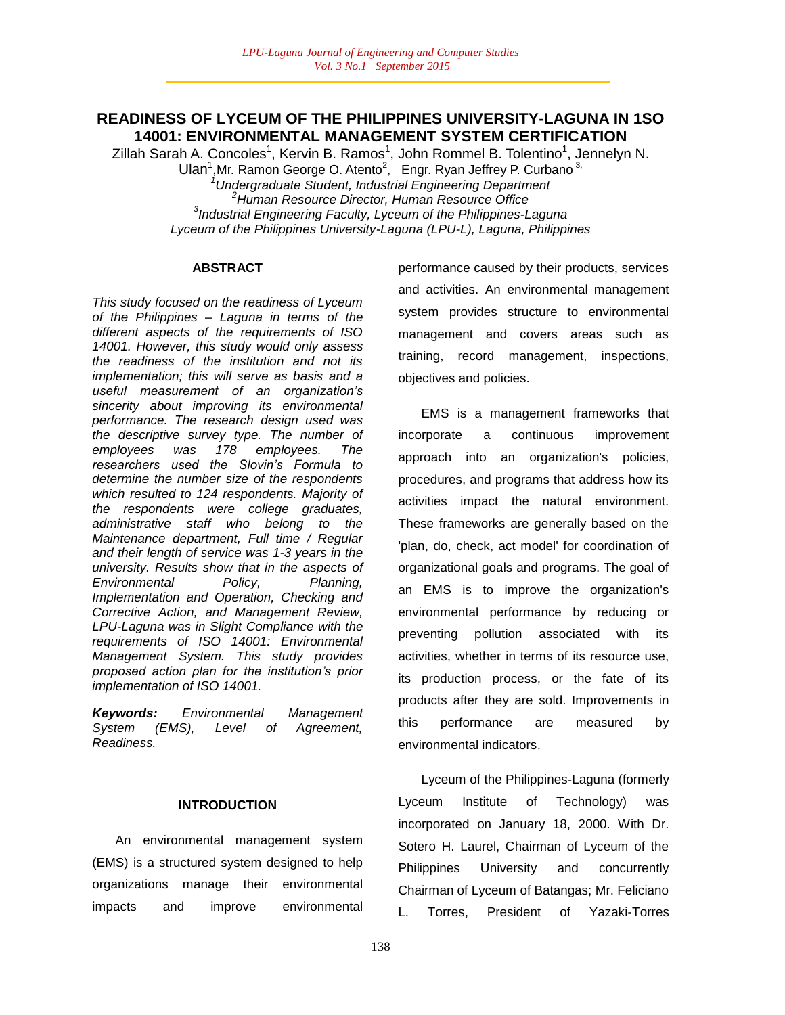# **READINESS OF LYCEUM OF THE PHILIPPINES UNIVERSITY-LAGUNA IN 1SO 14001: ENVIRONMENTAL MANAGEMENT SYSTEM CERTIFICATION**

Zillah Sarah A. Concoles<sup>1</sup>, Kervin B. Ramos<sup>1</sup>, John Rommel B. Tolentino<sup>1</sup>, Jennelyn N. Ulan<sup>1</sup>, Mr. Ramon George O. Atento<sup>2</sup>, Engr. Ryan Jeffrey P. Curbano<sup>3,</sup> *<sup>1</sup>Undergraduate Student, Industrial Engineering Department <sup>2</sup>Human Resource Director, Human Resource Office 3 Industrial Engineering Faculty, Lyceum of the Philippines-Laguna Lyceum of the Philippines University-Laguna (LPU-L), Laguna, Philippines*

## **ABSTRACT**

*This study focused on the readiness of Lyceum of the Philippines – Laguna in terms of the different aspects of the requirements of ISO 14001. However, this study would only assess the readiness of the institution and not its implementation; this will serve as basis and a useful measurement of an organization"s sincerity about improving its environmental performance. The research design used was the descriptive survey type. The number of employees was 178 employees. The researchers used the Slovin"s Formula to determine the number size of the respondents which resulted to 124 respondents. Majority of the respondents were college graduates, administrative staff who belong to the Maintenance department, Full time / Regular and their length of service was 1-3 years in the university. Results show that in the aspects of Environmental Policy, Planning, Implementation and Operation, Checking and Corrective Action, and Management Review, LPU-Laguna was in Slight Compliance with the requirements of ISO 14001: Environmental Management System. This study provides proposed action plan for the institution"s prior implementation of ISO 14001.*

*Keywords: Environmental Management System (EMS), Level of Agreement, Readiness.*

## **INTRODUCTION**

An environmental management system (EMS) is a structured system designed to help organizations manage their environmental impacts and improve environmental performance caused by their products, services and activities. An environmental management system provides structure to environmental management and covers areas such as training, record management, inspections, objectives and policies.

EMS is a management frameworks that incorporate a continuous improvement approach into an organization's policies, procedures, and programs that address how its activities impact the natural environment. These frameworks are generally based on the 'plan, do, check, act model' for coordination of organizational goals and programs. The goal of an EMS is to improve the organization's environmental performance by reducing or preventing pollution associated with its activities, whether in terms of its resource use, its production process, or the fate of its products after they are sold. Improvements in this performance are measured by environmental indicators.

Lyceum of the Philippines-Laguna (formerly Lyceum Institute of Technology) was incorporated on January 18, 2000. With Dr. Sotero H. Laurel, Chairman of Lyceum of the Philippines University and concurrently Chairman of Lyceum of Batangas; Mr. Feliciano L. Torres, President of Yazaki-Torres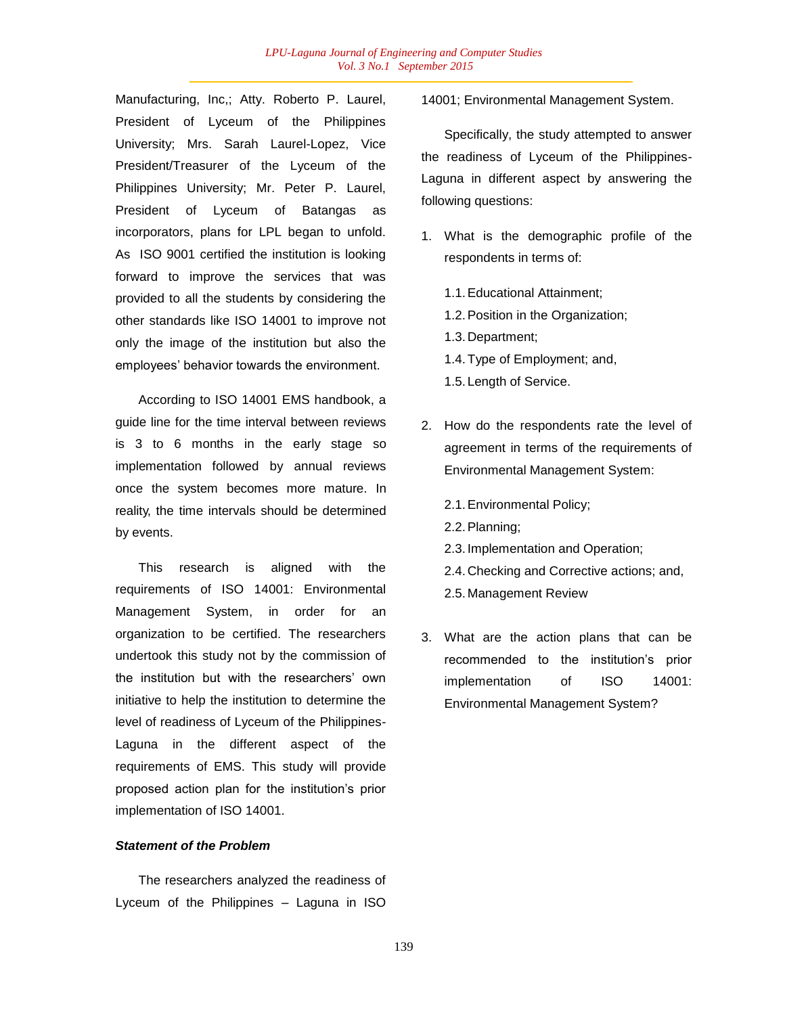Manufacturing, Inc,; Atty. Roberto P. Laurel, President of Lyceum of the Philippines University; Mrs. Sarah Laurel-Lopez, Vice President/Treasurer of the Lyceum of the Philippines University; Mr. Peter P. Laurel, President of Lyceum of Batangas as incorporators, plans for LPL began to unfold. As ISO 9001 certified the institution is looking forward to improve the services that was provided to all the students by considering the other standards like ISO 14001 to improve not only the image of the institution but also the employees" behavior towards the environment.

According to ISO 14001 EMS handbook, a guide line for the time interval between reviews is 3 to 6 months in the early stage so implementation followed by annual reviews once the system becomes more mature. In reality, the time intervals should be determined by events.

This research is aligned with the requirements of ISO 14001: Environmental Management System, in order for an organization to be certified. The researchers undertook this study not by the commission of the institution but with the researchers' own initiative to help the institution to determine the level of readiness of Lyceum of the Philippines-Laguna in the different aspect of the requirements of EMS. This study will provide proposed action plan for the institution"s prior implementation of ISO 14001.

#### *Statement of the Problem*

The researchers analyzed the readiness of Lyceum of the Philippines – Laguna in ISO

14001; Environmental Management System.

Specifically, the study attempted to answer the readiness of Lyceum of the Philippines-Laguna in different aspect by answering the following questions:

- 1. What is the demographic profile of the respondents in terms of:
	- 1.1.Educational Attainment; 1.2.Position in the Organization; 1.3. Department; 1.4.Type of Employment; and, 1.5. Length of Service.
- 2. How do the respondents rate the level of agreement in terms of the requirements of Environmental Management System:

2.1.Environmental Policy; 2.2.Planning; 2.3. Implementation and Operation; 2.4. Checking and Corrective actions; and, 2.5. Management Review

3. What are the action plans that can be recommended to the institution"s prior implementation of ISO 14001: Environmental Management System?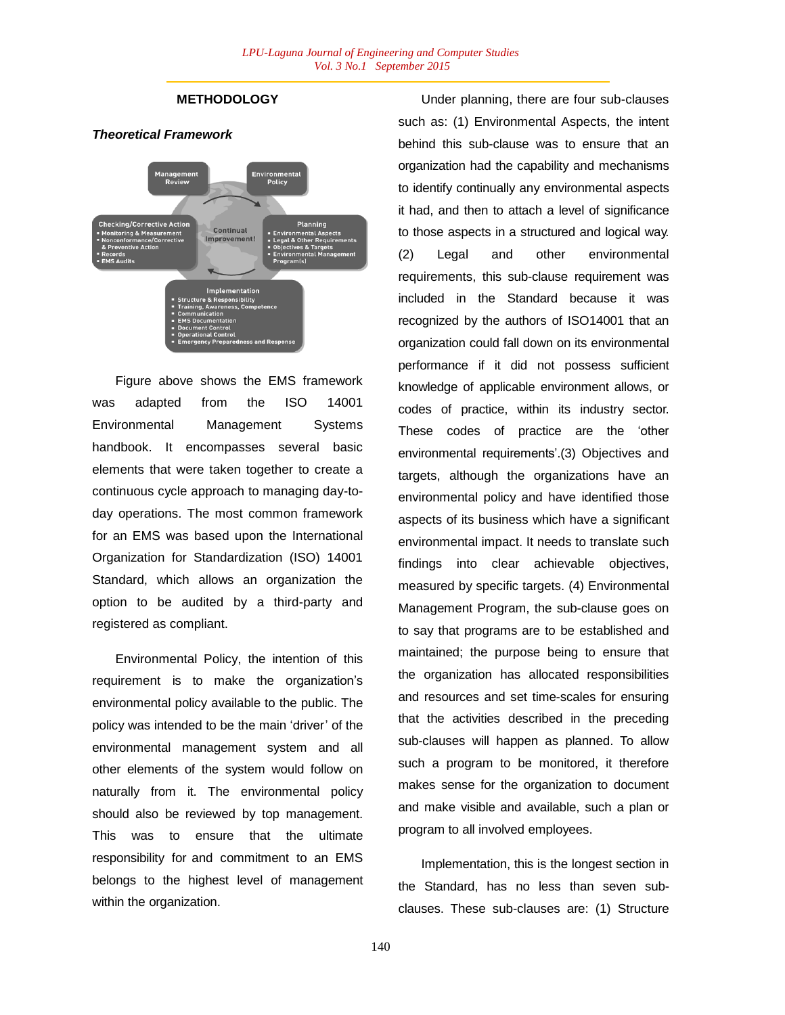## **METHODOLOGY**





Figure above shows the EMS framework was adapted from the ISO 14001 Environmental Management Systems handbook. It encompasses several basic elements that were taken together to create a continuous cycle approach to managing day-today operations. The most common framework for an EMS was based upon the International Organization for Standardization (ISO) 14001 Standard, which allows an organization the option to be audited by a third-party and registered as compliant.

Environmental Policy, the intention of this requirement is to make the organization"s environmental policy available to the public. The policy was intended to be the main "driver" of the environmental management system and all other elements of the system would follow on naturally from it. The environmental policy should also be reviewed by top management. This was to ensure that the ultimate responsibility for and commitment to an EMS belongs to the highest level of management within the organization.

Under planning, there are four sub-clauses such as: (1) Environmental Aspects, the intent behind this sub-clause was to ensure that an organization had the capability and mechanisms to identify continually any environmental aspects it had, and then to attach a level of significance to those aspects in a structured and logical way. (2) Legal and other environmental requirements, this sub-clause requirement was included in the Standard because it was recognized by the authors of ISO14001 that an organization could fall down on its environmental performance if it did not possess sufficient knowledge of applicable environment allows, or codes of practice, within its industry sector. These codes of practice are the "other environmental requirements'.(3) Objectives and targets, although the organizations have an environmental policy and have identified those aspects of its business which have a significant environmental impact. It needs to translate such findings into clear achievable objectives, measured by specific targets. (4) Environmental Management Program, the sub-clause goes on to say that programs are to be established and maintained; the purpose being to ensure that the organization has allocated responsibilities and resources and set time-scales for ensuring that the activities described in the preceding sub-clauses will happen as planned. To allow such a program to be monitored, it therefore makes sense for the organization to document and make visible and available, such a plan or program to all involved employees.

Implementation, this is the longest section in the Standard, has no less than seven subclauses. These sub-clauses are: (1) Structure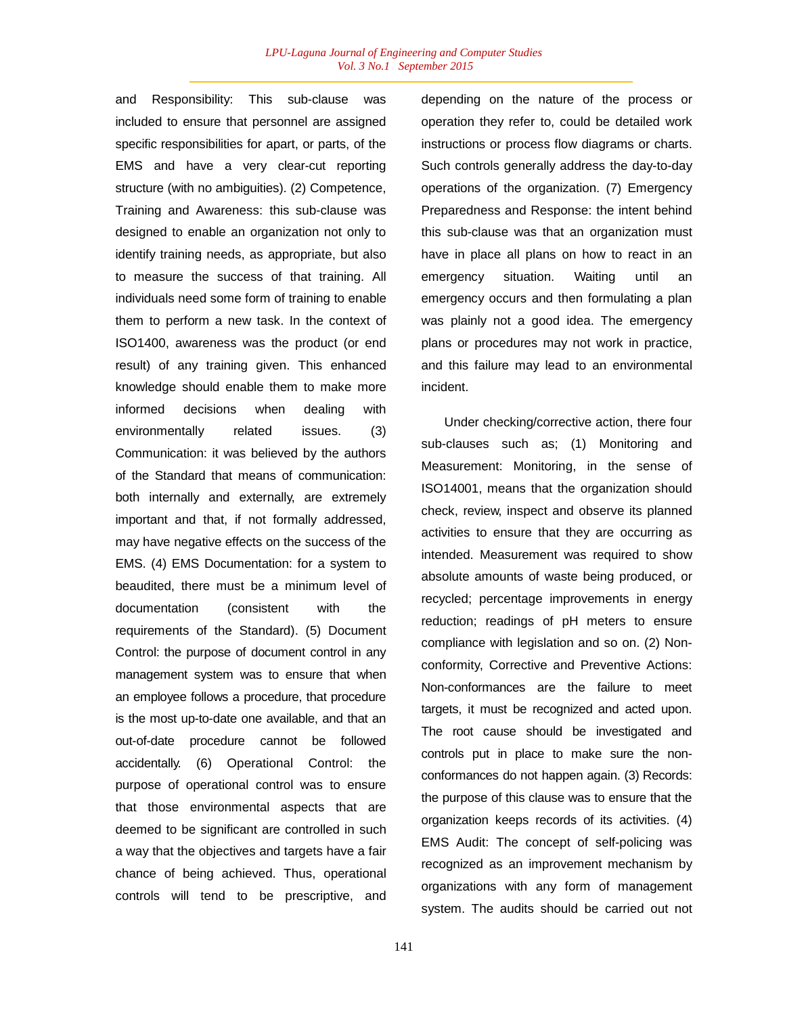and Responsibility: This sub-clause was included to ensure that personnel are assigned specific responsibilities for apart, or parts, of the EMS and have a very clear-cut reporting structure (with no ambiguities). (2) Competence, Training and Awareness: this sub-clause was designed to enable an organization not only to identify training needs, as appropriate, but also to measure the success of that training. All individuals need some form of training to enable them to perform a new task. In the context of ISO1400, awareness was the product (or end result) of any training given. This enhanced knowledge should enable them to make more informed decisions when dealing with environmentally related issues. (3) Communication: it was believed by the authors of the Standard that means of communication: both internally and externally, are extremely important and that, if not formally addressed, may have negative effects on the success of the EMS. (4) EMS Documentation: for a system to beaudited, there must be a minimum level of documentation (consistent with the requirements of the Standard). (5) Document Control: the purpose of document control in any management system was to ensure that when an employee follows a procedure, that procedure is the most up-to-date one available, and that an out-of-date procedure cannot be followed accidentally. (6) Operational Control: the purpose of operational control was to ensure that those environmental aspects that are deemed to be significant are controlled in such a way that the objectives and targets have a fair chance of being achieved. Thus, operational controls will tend to be prescriptive, and

141

depending on the nature of the process or operation they refer to, could be detailed work instructions or process flow diagrams or charts. Such controls generally address the day-to-day operations of the organization. (7) Emergency Preparedness and Response: the intent behind this sub-clause was that an organization must have in place all plans on how to react in an emergency situation. Waiting until an emergency occurs and then formulating a plan was plainly not a good idea. The emergency plans or procedures may not work in practice, and this failure may lead to an environmental incident.

Under checking/corrective action, there four sub-clauses such as; (1) Monitoring and Measurement: Monitoring, in the sense of ISO14001, means that the organization should check, review, inspect and observe its planned activities to ensure that they are occurring as intended. Measurement was required to show absolute amounts of waste being produced, or recycled; percentage improvements in energy reduction; readings of pH meters to ensure compliance with legislation and so on. (2) Nonconformity, Corrective and Preventive Actions: Non-conformances are the failure to meet targets, it must be recognized and acted upon. The root cause should be investigated and controls put in place to make sure the nonconformances do not happen again. (3) Records: the purpose of this clause was to ensure that the organization keeps records of its activities. (4) EMS Audit: The concept of self-policing was recognized as an improvement mechanism by organizations with any form of management system. The audits should be carried out not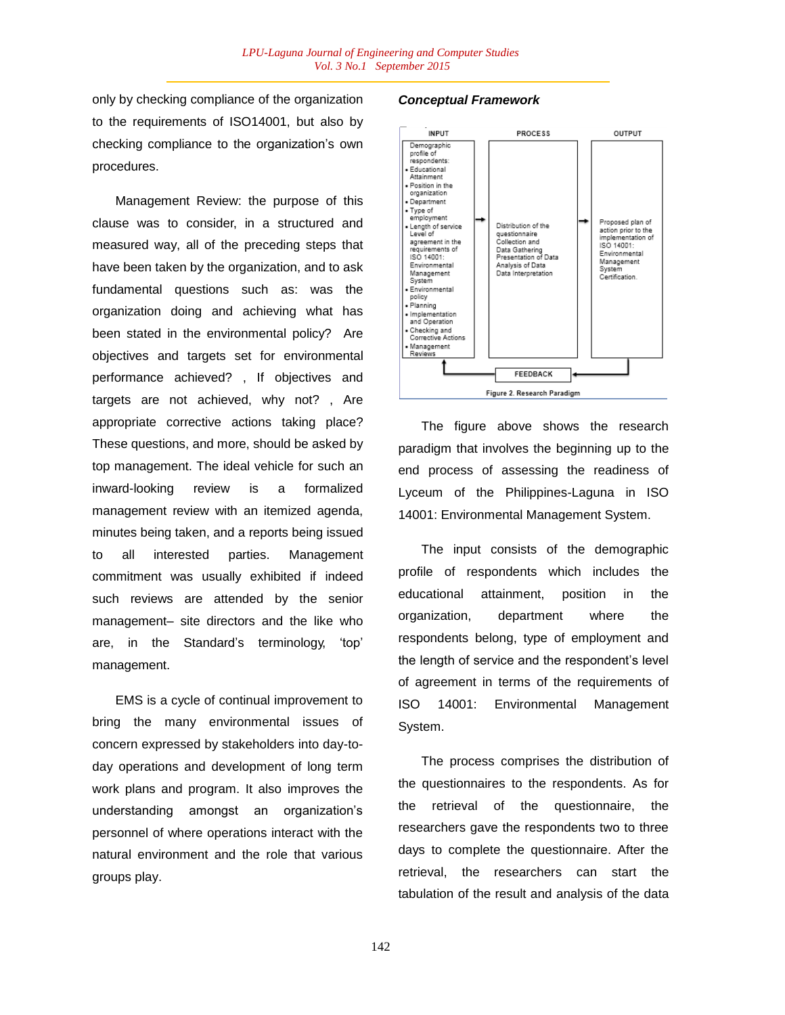only by checking compliance of the organization to the requirements of ISO14001, but also by checking compliance to the organization"s own procedures.

Management Review: the purpose of this clause was to consider, in a structured and measured way, all of the preceding steps that have been taken by the organization, and to ask fundamental questions such as: was the organization doing and achieving what has been stated in the environmental policy? Are objectives and targets set for environmental performance achieved? , If objectives and targets are not achieved, why not? , Are appropriate corrective actions taking place? These questions, and more, should be asked by top management. The ideal vehicle for such an inward-looking review is a formalized management review with an itemized agenda, minutes being taken, and a reports being issued to all interested parties. Management commitment was usually exhibited if indeed such reviews are attended by the senior management– site directors and the like who are, in the Standard"s terminology, "top" management.

EMS is a cycle of continual improvement to bring the many environmental issues of concern expressed by stakeholders into day-today operations and development of long term work plans and program. It also improves the understanding amongst an organization"s personnel of where operations interact with the natural environment and the role that various groups play.

## *Conceptual Framework*



The figure above shows the research paradigm that involves the beginning up to the end process of assessing the readiness of Lyceum of the Philippines-Laguna in ISO 14001: Environmental Management System.

The input consists of the demographic profile of respondents which includes the educational attainment, position in the organization, department where the respondents belong, type of employment and the length of service and the respondent"s level of agreement in terms of the requirements of ISO 14001: Environmental Management System.

The process comprises the distribution of the questionnaires to the respondents. As for the retrieval of the questionnaire, the researchers gave the respondents two to three days to complete the questionnaire. After the retrieval, the researchers can start the tabulation of the result and analysis of the data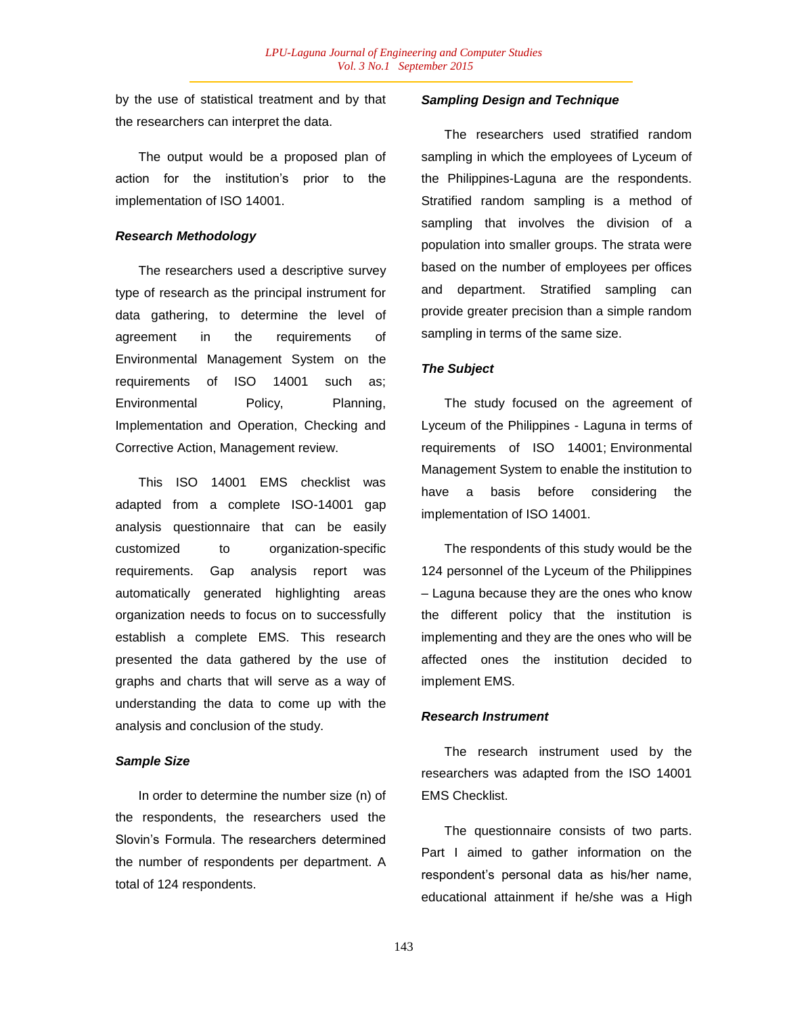by the use of statistical treatment and by that the researchers can interpret the data.

The output would be a proposed plan of action for the institution"s prior to the implementation of ISO 14001.

#### *Research Methodology*

The researchers used a descriptive survey type of research as the principal instrument for data gathering, to determine the level of agreement in the requirements of Environmental Management System on the requirements of ISO 14001 such as; Environmental Policy, Planning, Implementation and Operation, Checking and Corrective Action, Management review.

This ISO 14001 EMS checklist was adapted from a complete ISO-14001 gap analysis questionnaire that can be easily customized to organization-specific requirements. Gap analysis report was automatically generated highlighting areas organization needs to focus on to successfully establish a complete EMS. This research presented the data gathered by the use of graphs and charts that will serve as a way of understanding the data to come up with the analysis and conclusion of the study.

#### *Sample Size*

In order to determine the number size (n) of the respondents, the researchers used the Slovin"s Formula. The researchers determined the number of respondents per department. A total of 124 respondents.

## *Sampling Design and Technique*

The researchers used stratified random sampling in which the employees of Lyceum of the Philippines-Laguna are the respondents. Stratified random sampling is a method of sampling that involves the division of a population into smaller groups. The strata were based on the number of employees per offices and department. Stratified sampling can provide greater precision than a simple random sampling in terms of the same size.

#### *The Subject*

The study focused on the agreement of Lyceum of the Philippines - Laguna in terms of requirements of ISO 14001; Environmental Management System to enable the institution to have a basis before considering the implementation of ISO 14001.

The respondents of this study would be the 124 personnel of the Lyceum of the Philippines – Laguna because they are the ones who know the different policy that the institution is implementing and they are the ones who will be affected ones the institution decided to implement EMS.

#### *Research Instrument*

The research instrument used by the researchers was adapted from the ISO 14001 EMS Checklist.

The questionnaire consists of two parts. Part I aimed to gather information on the respondent"s personal data as his/her name, educational attainment if he/she was a High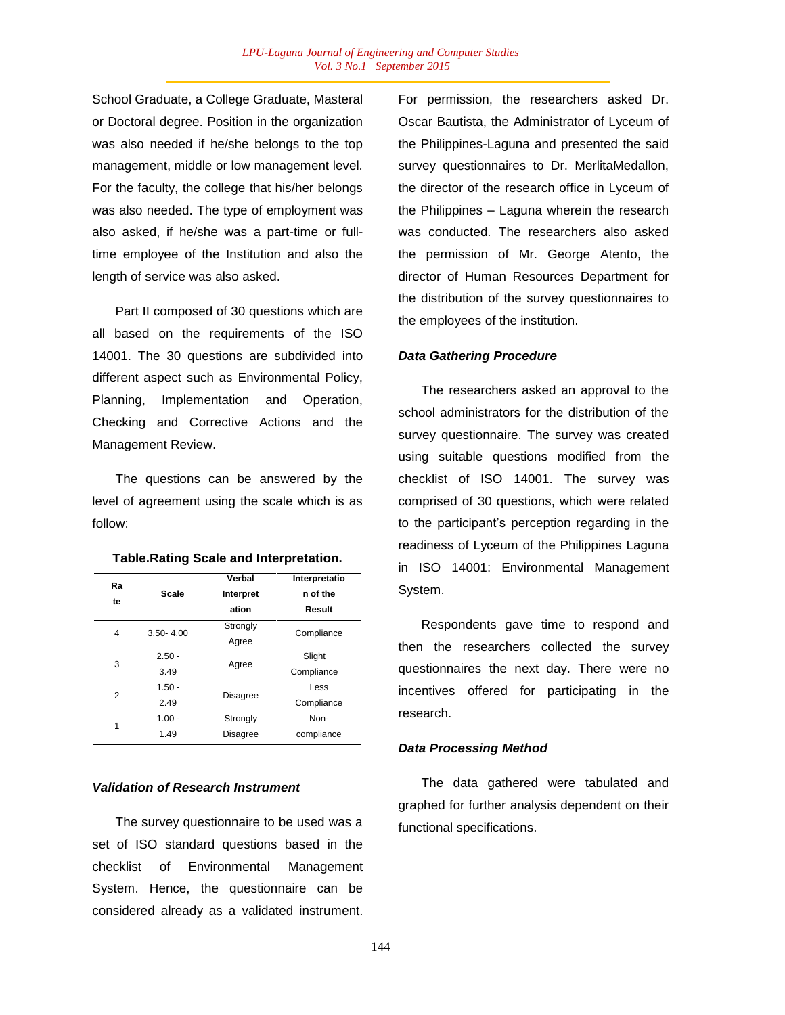School Graduate, a College Graduate, Masteral or Doctoral degree. Position in the organization was also needed if he/she belongs to the top management, middle or low management level. For the faculty, the college that his/her belongs was also needed. The type of employment was also asked, if he/she was a part-time or fulltime employee of the Institution and also the length of service was also asked.

Part II composed of 30 questions which are all based on the requirements of the ISO 14001. The 30 questions are subdivided into different aspect such as Environmental Policy, Planning, Implementation and Operation, Checking and Corrective Actions and the Management Review.

The questions can be answered by the level of agreement using the scale which is as follow:

| Ra<br>te | <b>Scale</b>  | Verbal<br>Interpret<br>ation | Interpretatio<br>n of the<br>Result |  |
|----------|---------------|------------------------------|-------------------------------------|--|
| 4        | $3.50 - 4.00$ | Strongly                     | Compliance                          |  |
|          |               | Agree                        |                                     |  |
| 3        | $2.50 -$      |                              | Slight                              |  |
|          | 3.49          | Agree                        | Compliance                          |  |
| 2        | $1.50 -$      |                              | Less                                |  |
|          | 2.49          | <b>Disagree</b>              | Compliance                          |  |
|          | $1.00 -$      | Strongly                     | Non-                                |  |
| 1        | 1.49          | <b>Disagree</b>              | compliance                          |  |

#### **Table.Rating Scale and Interpretation.**

### *Validation of Research Instrument*

The survey questionnaire to be used was a set of ISO standard questions based in the checklist of Environmental Management System. Hence, the questionnaire can be considered already as a validated instrument.

For permission, the researchers asked Dr. Oscar Bautista, the Administrator of Lyceum of the Philippines-Laguna and presented the said survey questionnaires to Dr. MerlitaMedallon, the director of the research office in Lyceum of the Philippines – Laguna wherein the research was conducted. The researchers also asked the permission of Mr. George Atento, the director of Human Resources Department for the distribution of the survey questionnaires to the employees of the institution.

#### *Data Gathering Procedure*

The researchers asked an approval to the school administrators for the distribution of the survey questionnaire. The survey was created using suitable questions modified from the checklist of ISO 14001. The survey was comprised of 30 questions, which were related to the participant"s perception regarding in the readiness of Lyceum of the Philippines Laguna in ISO 14001: Environmental Management System.

Respondents gave time to respond and then the researchers collected the survey questionnaires the next day. There were no incentives offered for participating in the research.

#### *Data Processing Method*

The data gathered were tabulated and graphed for further analysis dependent on their functional specifications.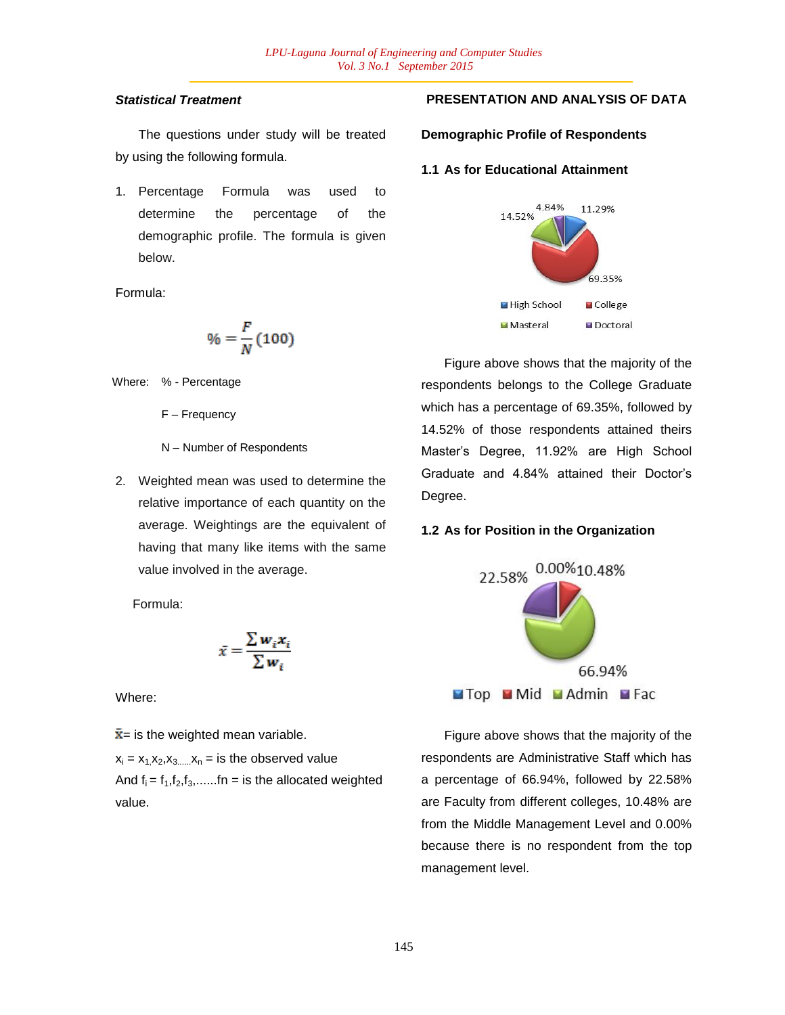# *Statistical Treatment*

The questions under study will be treated by using the following formula.

1. Percentage Formula was used to determine the percentage of the demographic profile. The formula is given below.

Formula:

$$
\% = \frac{F}{N} (100)
$$

Where: % - Percentage

F – Frequency

- N Number of Respondents
- 2. Weighted mean was used to determine the relative importance of each quantity on the average. Weightings are the equivalent of having that many like items with the same value involved in the average.

Formula:

$$
\bar{x} = \frac{\sum w_i x_i}{\sum w_i}
$$

Where:

 $\bar{x}$ = is the weighted mean variable.

 $x_i = x_1 x_2, x_3,...,x_n =$  is the observed value And  $f_i = f_1, f_2, f_3, \ldots, f_n =$  is the allocated weighted value.

# **PRESENTATION AND ANALYSIS OF DATA**

## **Demographic Profile of Respondents**

## **1.1 As for Educational Attainment**



Figure above shows that the majority of the respondents belongs to the College Graduate which has a percentage of 69.35%, followed by 14.52% of those respondents attained theirs Master"s Degree, 11.92% are High School Graduate and 4.84% attained their Doctor"s Degree.

# **1.2 As for Position in the Organization**



Figure above shows that the majority of the respondents are Administrative Staff which has a percentage of 66.94%, followed by 22.58% are Faculty from different colleges, 10.48% are from the Middle Management Level and 0.00% because there is no respondent from the top management level.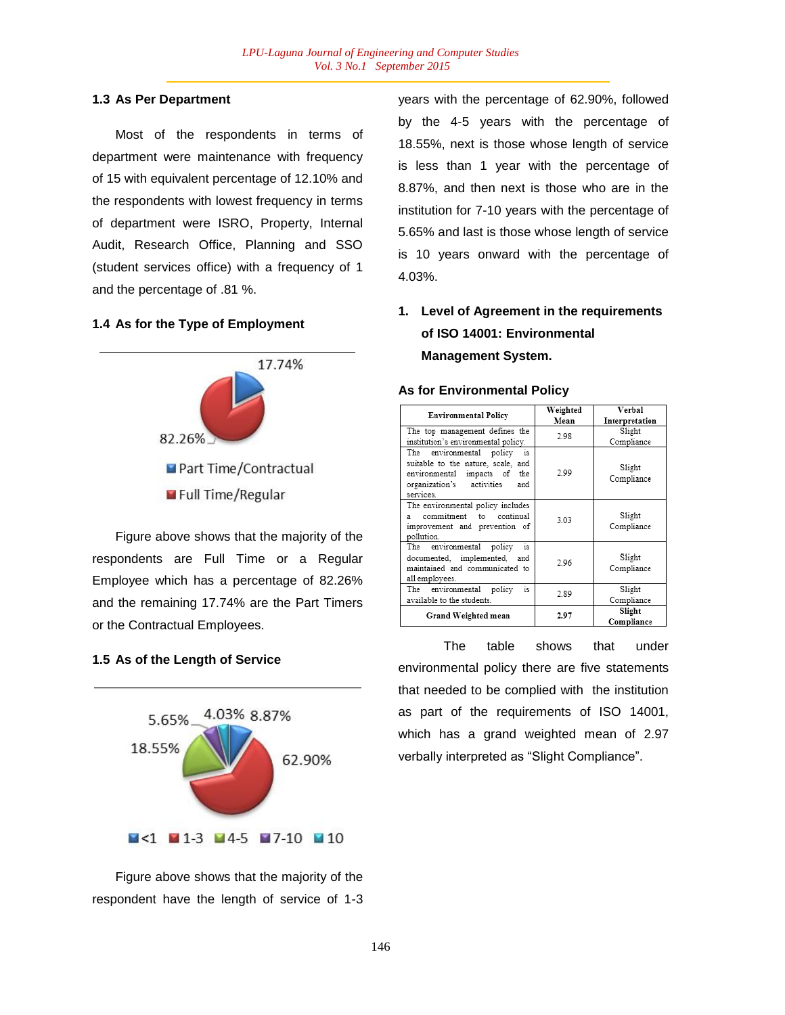### **1.3 As Per Department**

Most of the respondents in terms of department were maintenance with frequency of 15 with equivalent percentage of 12.10% and the respondents with lowest frequency in terms of department were ISRO, Property, Internal Audit, Research Office, Planning and SSO (student services office) with a frequency of 1 and the percentage of .81 %.

### **1.4 As for the Type of Employment**



Figure above shows that the majority of the respondents are Full Time or a Regular Employee which has a percentage of 82.26% and the remaining 17.74% are the Part Timers or the Contractual Employees.

## **1.5 As of the Length of Service**



Figure above shows that the majority of the respondent have the length of service of 1-3 years with the percentage of 62.90%, followed by the 4-5 years with the percentage of 18.55%, next is those whose length of service is less than 1 year with the percentage of 8.87%, and then next is those who are in the institution for 7-10 years with the percentage of 5.65% and last is those whose length of service is 10 years onward with the percentage of 4.03%.

# **1. Level of Agreement in the requirements of ISO 14001: Environmental Management System.**

#### **As for Environmental Policy**

| <b>Environmental Policy</b>                                                                                                                           | Weighted<br>Mean | Verbal<br>Interpretation |
|-------------------------------------------------------------------------------------------------------------------------------------------------------|------------------|--------------------------|
| The top management defines the<br>institution's environmental policy.                                                                                 | 2.98             | Slight<br>Compliance     |
| The environmental policy<br>is<br>suitable to the nature, scale, and<br>environmental impacts of the<br>organization's activities<br>and<br>services. | 2.99             | Slight<br>Compliance     |
| The environmental policy includes<br>commitment<br>continual<br>to<br>я<br>improvement and prevention of<br>pollution.                                | 3.03             | Slight<br>Compliance     |
| The environmental policy<br>is<br>documented, implemented, and<br>maintained and communicated to<br>all employees.                                    | 2.96             | Slight<br>Compliance     |
| The environmental policy<br>is.<br>available to the students.                                                                                         | 2.89             | Slight<br>Compliance     |
| Grand Weighted mean                                                                                                                                   | 2.97             | Slight<br>Compliance     |

The table shows that under environmental policy there are five statements that needed to be complied with the institution as part of the requirements of ISO 14001, which has a grand weighted mean of 2.97 verbally interpreted as "Slight Compliance".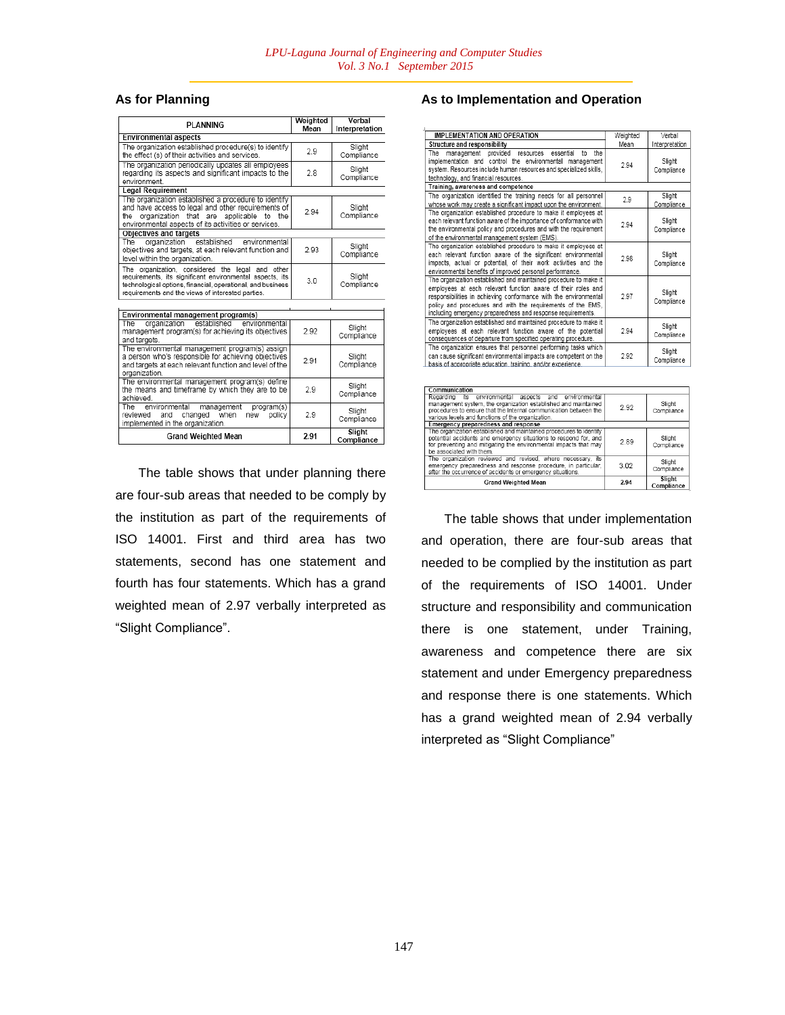# **As for Planning**

| <b>PI ANNING</b>                                                                                                                                                                                                                 | Weighted<br>Mean | Verbal<br>Interpretation |
|----------------------------------------------------------------------------------------------------------------------------------------------------------------------------------------------------------------------------------|------------------|--------------------------|
| <b>Environmental aspects</b>                                                                                                                                                                                                     |                  |                          |
| The organization established procedure(s) to identify<br>the effect (s) of their activities and services.                                                                                                                        | 2.9              | Slight<br>Compliance     |
| The organization periodically updates all employees<br>regarding its aspects and significant impacts to the<br>environment.                                                                                                      | 2.8              | Slight<br>Compliance     |
| <b>Legal Requirement</b>                                                                                                                                                                                                         |                  |                          |
| The organization established a procedure to identify<br>and have access to legal and other requirements of<br>organization that are applicable to the<br>the<br>environmental aspects of its activities or services.             | 2.94             | Slight<br>Compliance     |
| <b>Objectives and targets</b>                                                                                                                                                                                                    |                  |                          |
| established<br>The<br>organization<br>environmental<br>objectives and targets, at each relevant function and<br>level within the organization.                                                                                   | 2.93             | Slight<br>Compliance     |
| The organization, considered the legal and other<br>requirements, its significant environmental aspects, its<br>technological options, financial, operational, and business<br>requirements and the views of interested parties. | 3.0              | Slight<br>Compliance     |
|                                                                                                                                                                                                                                  |                  |                          |
| Environmental management program(s)                                                                                                                                                                                              |                  |                          |
| established<br>environmental<br>The<br>organization<br>management program(s) for achieving its objectives<br>and targets.                                                                                                        | 292              | Slight<br>Compliance     |
| The environmental management program(s) assign<br>a person who's responsible for achieving objectives<br>and targets at each relevant function and level of the<br>organization.                                                 | 2.91             | Slight<br>Compliance     |
| The environmental management program(s) define<br>the means and timeframe by which they are to be<br>achieved.                                                                                                                   | 2.9              | Slight<br>Compliance     |
| environmental<br>The<br>management<br>program(s)<br>changed<br>when<br>policy<br>reviewed<br>and<br>new<br>implemented in the organization.                                                                                      | 2.9              | Slight<br>Compliance     |
| <b>Grand Weighted Mean</b>                                                                                                                                                                                                       | 2.91             | Slight<br>Compliance     |

The table shows that under planning there are four-sub areas that needed to be comply by the institution as part of the requirements of ISO 14001. First and third area has two statements, second has one statement and fourth has four statements. Which has a grand weighted mean of 2.97 verbally interpreted as "Slight Compliance".

## **As to Implementation and Operation**

| <b>IMPLEMENTATION AND OPERATION</b>                                                                                                                                                                                                                                                                                                | Weighted | Verbal               |
|------------------------------------------------------------------------------------------------------------------------------------------------------------------------------------------------------------------------------------------------------------------------------------------------------------------------------------|----------|----------------------|
| Structure and responsibility                                                                                                                                                                                                                                                                                                       | Mean     | Interpretation       |
| provided resources essential<br>The<br>management<br>the<br>to<br>implementation and control the environmental management<br>system. Resources include human resources and specialized skills,<br>technology, and financial resources.                                                                                             | 2.94     | Slight<br>Compliance |
| Training, awareness and competence                                                                                                                                                                                                                                                                                                 |          |                      |
| The organization identified the training needs for all personnel<br>whose work may create a significant impact upon the environment.                                                                                                                                                                                               | 2.9      | Slight<br>Compliance |
| The organization established procedure to make it employees at<br>each relevant function aware of the importance of conformance with<br>the environmental policy and procedures and with the requirement<br>of the environmental management system (EMS).                                                                          | 2.94     | Slight<br>Compliance |
| The organization established procedure to make it employees at<br>each relevant function aware of the significant environmental<br>impacts, actual or potential, of their work activities and the<br>environmental benefits of improved personal performance.                                                                      | 2.98     | Slight<br>Compliance |
| The organization established and maintained procedure to make it<br>employees at each relevant function aware of their roles and<br>responsibilities in achieving conformance with the environmental<br>policy and procedures and with the requirements of the EMS.<br>including emergency preparedness and response requirements. | 2.97     | Slight<br>Compliance |
| The organization established and maintained procedure to make it<br>employees at each relevant function aware of the potential<br>consequences of departure from specified operating procedure.                                                                                                                                    | 2.94     | Slight<br>Compliance |
| The organization ensures that personnel performing tasks which<br>can cause significant environmental impacts are competent on the<br>basis of appropriate education, training, and/or experience,                                                                                                                                 | 2.92     | Slight<br>Compliance |
|                                                                                                                                                                                                                                                                                                                                    |          |                      |

| Communication                                                                                                                                                                                                                                       |      |                      |
|-----------------------------------------------------------------------------------------------------------------------------------------------------------------------------------------------------------------------------------------------------|------|----------------------|
| Regarding its environmental aspects and<br>environmental<br>management system, the organization established and maintained<br>procedures to ensure that the Internal communication between the<br>various levels and functions of the organization. | 2.92 | Slight<br>Compliance |
| <b>Emergency preparedness and response</b>                                                                                                                                                                                                          |      |                      |
| The organization established and maintained procedures to identify<br>potential accidents and emergency situations to respond for, and<br>for preventing and mitigating the environmental impacts that may<br>be associated with them.              | 2.89 | Slight<br>Compliance |
| The organization reviewed and revised, where necessary, its<br>emergency preparedness and response procedure, in particular,<br>after the occurrence of accidents or emergency situations.                                                          | 3.02 | Slight<br>Compliance |
| <b>Grand Weighted Mean</b>                                                                                                                                                                                                                          | 2.94 | Slight<br>Compliance |

The table shows that under implementation and operation, there are four-sub areas that needed to be complied by the institution as part of the requirements of ISO 14001. Under structure and responsibility and communication there is one statement, under Training, awareness and competence there are six statement and under Emergency preparedness and response there is one statements. Which has a grand weighted mean of 2.94 verbally interpreted as "Slight Compliance"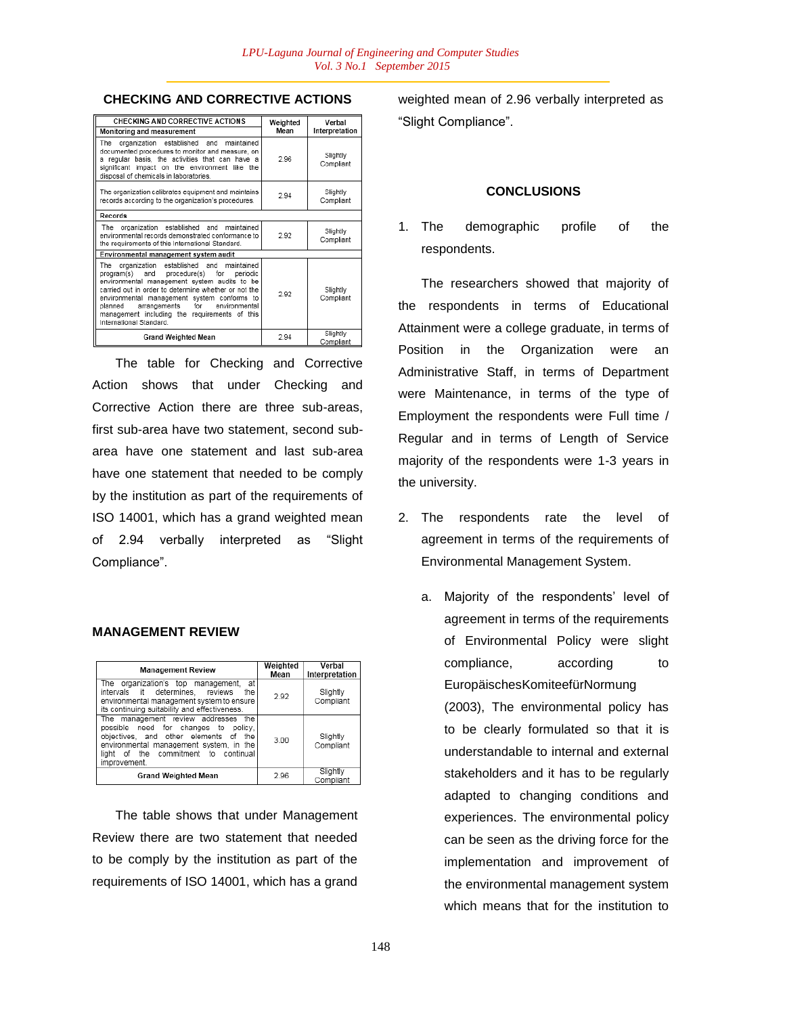# **CHECKING AND CORRECTIVE ACTIONS**

| CHECKING AND CORRECTIVE ACTIONS<br>Monitoring and measurement                                                                                                                                                                                                                                                                                                                    | Weighted<br>Mean | Verbal<br>Interpretation |
|----------------------------------------------------------------------------------------------------------------------------------------------------------------------------------------------------------------------------------------------------------------------------------------------------------------------------------------------------------------------------------|------------------|--------------------------|
| maintained<br>The<br>organization established and<br>documented procedures to monitor and measure, on<br>a regular basis, the activities that can have a<br>significant impact on the environment like the<br>disposal of chemicals in laboratories.                                                                                                                             | 2.96             | Slightly<br>Compliant    |
| The organization calibrates equipment and maintains<br>records according to the organization's procedures.                                                                                                                                                                                                                                                                       | 2.94             | Slightly<br>Compliant    |
| Records                                                                                                                                                                                                                                                                                                                                                                          |                  |                          |
| organization established and maintained<br>The<br>environmental records demonstrated conformance to<br>the requirements of this International Standard.                                                                                                                                                                                                                          | 2.92             | Slightly<br>Compliant    |
| Environmental management system audit                                                                                                                                                                                                                                                                                                                                            |                  |                          |
| organization established and maintained<br>The<br>procedure(s) for<br>program(s) and<br>periodic<br>environmental management system audits to be<br>carried out in order to determine whether or not the<br>environmental management system conforms to<br>arrangements for environmental<br>planned<br>management including the requirements of this<br>International Standard. | 2.92             | Slightly<br>Compliant    |
| <b>Grand Weighted Mean</b>                                                                                                                                                                                                                                                                                                                                                       | 2.94             | Slightly<br>Compliant    |

The table for Checking and Corrective Action shows that under Checking and Corrective Action there are three sub-areas, first sub-area have two statement, second subarea have one statement and last sub-area have one statement that needed to be comply by the institution as part of the requirements of ISO 14001, which has a grand weighted mean of 2.94 verbally interpreted as "Slight Compliance".

### **MANAGEMENT REVIEW**

| <b>Management Review</b>                                                                                                                                                                                                         | Weighted<br>Mean | Verbal<br>Interpretation |
|----------------------------------------------------------------------------------------------------------------------------------------------------------------------------------------------------------------------------------|------------------|--------------------------|
| at<br>organization's top management,<br>The<br>intervals it determines, reviews<br>the<br>environmental management system to ensure<br>its continuing suitability and effectiveness.                                             | 2.92             | Slightly<br>Compliant    |
| The management review addresses<br>the<br>possible need for changes to policy.<br>obiectives, and other elements of<br>the<br>environmental management system, in the<br>of the commitment to continual<br>liaht<br>improvement. | 3.00             | Slightly<br>Compliant    |
| <b>Grand Weighted Mean</b>                                                                                                                                                                                                       | 2.96             | Slightly<br>Compliant    |

The table shows that under Management Review there are two statement that needed to be comply by the institution as part of the requirements of ISO 14001, which has a grand

weighted mean of 2.96 verbally interpreted as "Slight Compliance".

#### **CONCLUSIONS**

1. The demographic profile of the respondents.

The researchers showed that majority of the respondents in terms of Educational Attainment were a college graduate, in terms of Position in the Organization were an Administrative Staff, in terms of Department were Maintenance, in terms of the type of Employment the respondents were Full time / Regular and in terms of Length of Service majority of the respondents were 1-3 years in the university.

- 2. The respondents rate the level of agreement in terms of the requirements of Environmental Management System.
	- a. Majority of the respondents' level of agreement in terms of the requirements of Environmental Policy were slight compliance, according to EuropäischesKomiteefürNormung (2003), The environmental policy has to be clearly formulated so that it is understandable to internal and external stakeholders and it has to be regularly adapted to changing conditions and experiences. The environmental policy can be seen as the driving force for the implementation and improvement of the environmental management system which means that for the institution to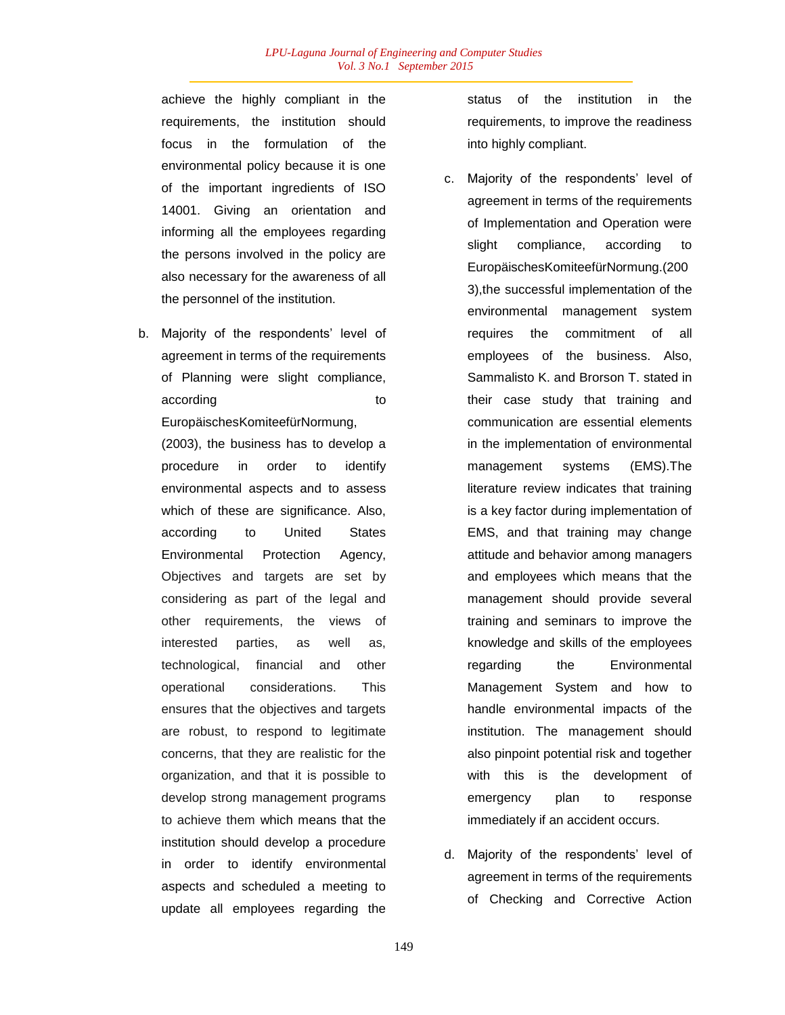achieve the highly compliant in the requirements, the institution should focus in the formulation of the environmental policy because it is one of the important ingredients of ISO 14001. Giving an orientation and informing all the employees regarding the persons involved in the policy are also necessary for the awareness of all the personnel of the institution.

b. Majority of the respondents' level of agreement in terms of the requirements of Planning were slight compliance, according to the state of the state and the state of the state of the state of the state of the state of the s EuropäischesKomiteefürNormung,

(2003), the business has to develop a procedure in order to identify environmental aspects and to assess which of these are significance. Also, according to United States Environmental Protection Agency, Objectives and targets are set by considering as part of the legal and other requirements, the views of interested parties, as well as, technological, financial and other operational considerations. This ensures that the objectives and targets are robust, to respond to legitimate concerns, that they are realistic for the organization, and that it is possible to develop strong management programs to achieve them which means that the institution should develop a procedure in order to identify environmental aspects and scheduled a meeting to update all employees regarding the status of the institution in the requirements, to improve the readiness into highly compliant.

- c. Majority of the respondents" level of agreement in terms of the requirements of Implementation and Operation were slight compliance, according to EuropäischesKomiteefürNormung.(200 3),the successful implementation of the environmental management system requires the commitment of all employees of the business. Also, Sammalisto K. and Brorson T. stated in their case study that training and communication are essential elements in the implementation of environmental management systems (EMS).The literature review indicates that training is a key factor during implementation of EMS, and that training may change attitude and behavior among managers and employees which means that the management should provide several training and seminars to improve the knowledge and skills of the employees regarding the Environmental Management System and how to handle environmental impacts of the institution. The management should also pinpoint potential risk and together with this is the development of emergency plan to response immediately if an accident occurs.
- d. Majority of the respondents' level of agreement in terms of the requirements of Checking and Corrective Action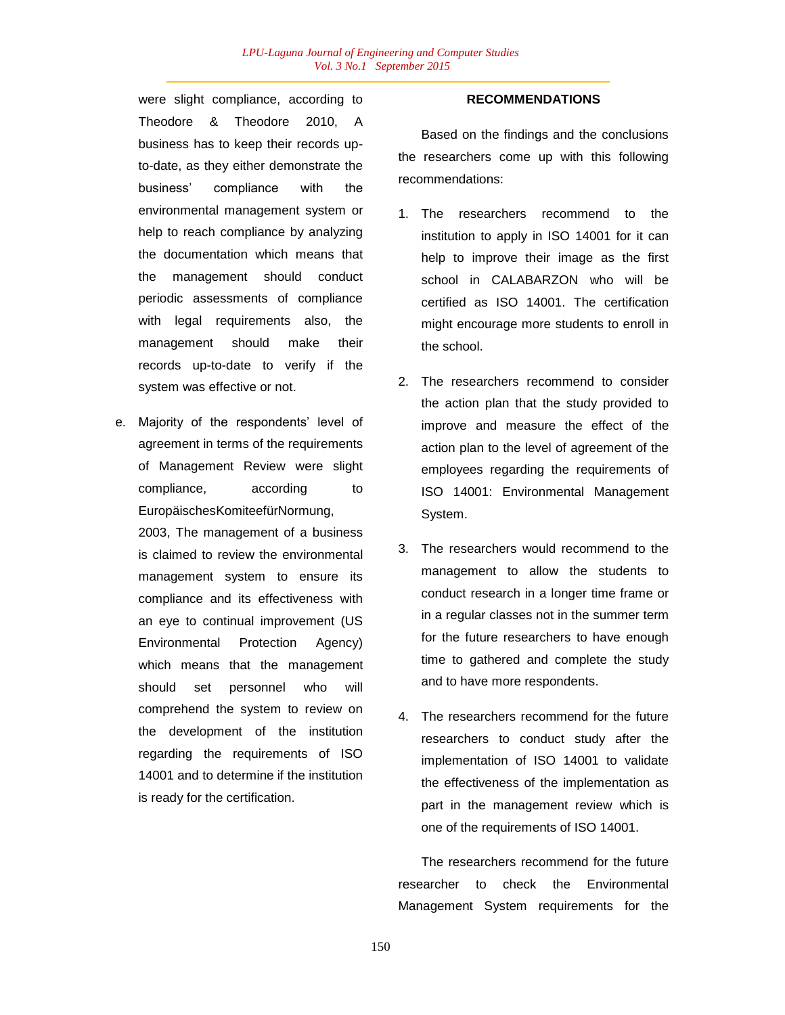were slight compliance, according to Theodore & Theodore 2010. business has to keep their records upto-date, as they either demonstrate the business" compliance with the environmental management system or help to reach compliance by analyzing the documentation which means that the management should conduct periodic assessments of compliance with legal requirements also, the management should make their records up-to-date to verify if the system was effective or not.

e. Majority of the respondents' level of agreement in terms of the requirements of Management Review were slight compliance, according to EuropäischesKomiteefürNormung,

2003, The management of a business is claimed to review the environmental management system to ensure its compliance and its effectiveness with an eye to continual improvement (US Environmental Protection Agency) which means that the management should set personnel who will comprehend the system to review on the development of the institution regarding the requirements of ISO 14001 and to determine if the institution is ready for the certification.

#### **RECOMMENDATIONS**

Based on the findings and the conclusions the researchers come up with this following recommendations:

- 1. The researchers recommend to the institution to apply in ISO 14001 for it can help to improve their image as the first school in CALABARZON who will be certified as ISO 14001. The certification might encourage more students to enroll in the school.
- 2. The researchers recommend to consider the action plan that the study provided to improve and measure the effect of the action plan to the level of agreement of the employees regarding the requirements of ISO 14001: Environmental Management System.
- 3. The researchers would recommend to the management to allow the students to conduct research in a longer time frame or in a regular classes not in the summer term for the future researchers to have enough time to gathered and complete the study and to have more respondents.
- 4. The researchers recommend for the future researchers to conduct study after the implementation of ISO 14001 to validate the effectiveness of the implementation as part in the management review which is one of the requirements of ISO 14001.

The researchers recommend for the future researcher to check the Environmental Management System requirements for the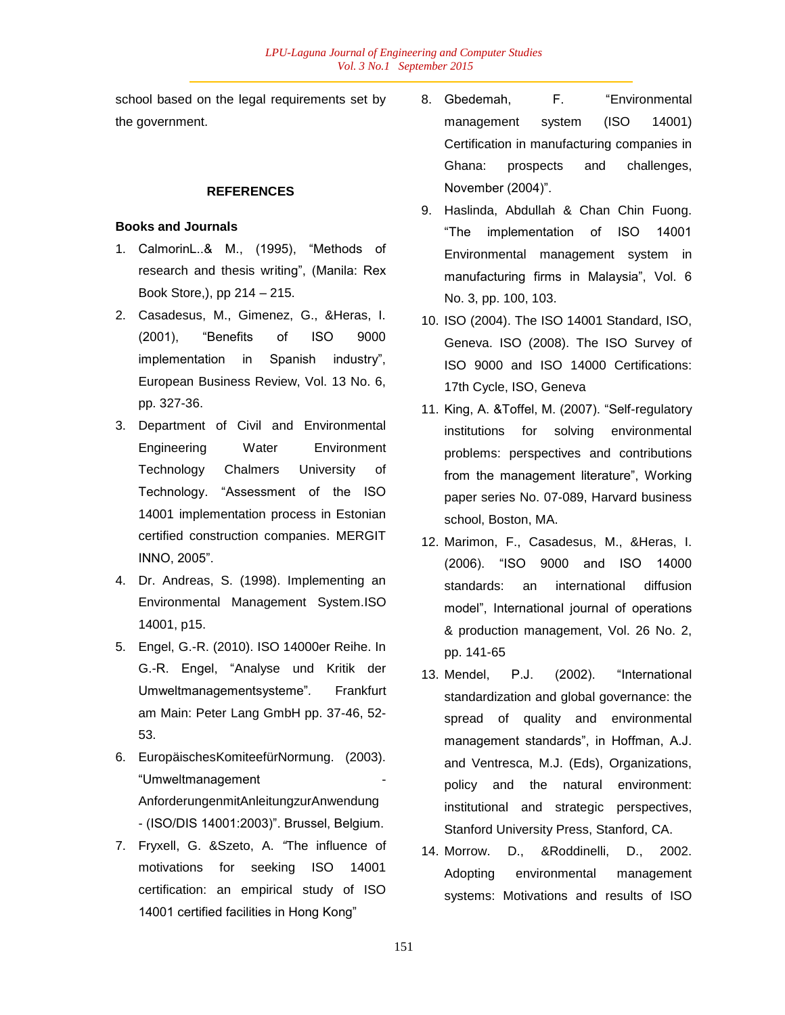school based on the legal requirements set by the government.

## **REFERENCES**

## **Books and Journals**

- 1. CalmorinL..& M., (1995), "Methods of research and thesis writing", (Manila: Rex Book Store,), pp 214 – 215.
- 2. Casadesus, M., Gimenez, G., &Heras, I. (2001), "Benefits of ISO 9000 implementation in Spanish industry", European Business Review, Vol. 13 No. 6, pp. 327-36.
- 3. Department of Civil and Environmental Engineering Water Environment Technology Chalmers University of Technology. "Assessment of the ISO 14001 implementation process in Estonian certified construction companies. MERGIT INNO, 2005".
- 4. Dr. Andreas, S. (1998). Implementing an Environmental Management System.ISO 14001, p15.
- 5. Engel, G.-R. (2010). ISO 14000er Reihe. In G.-R. Engel, "Analyse und Kritik der Umweltmanagementsysteme". Frankfurt am Main: Peter Lang GmbH pp. 37-46, 52- 53.
- 6. EuropäischesKomiteefürNormung. (2003). "Umweltmanagement - AnforderungenmitAnleitungzurAnwendung - (ISO/DIS 14001:2003)". Brussel, Belgium.
- 7. Fryxell, G. &Szeto, A. *"*The influence of motivations for seeking ISO 14001 certification: an empirical study of ISO 14001 certified facilities in Hong Kong"
- 8. Gbedemah, F. "Environmental management system (ISO 14001) Certification in manufacturing companies in Ghana: prospects and challenges, November (2004)".
- 9. Haslinda, Abdullah & Chan Chin Fuong. "The implementation of ISO 14001 Environmental management system in manufacturing firms in Malaysia", Vol. 6 No. 3, pp. 100, 103.
- 10. ISO (2004). The ISO 14001 Standard, ISO, Geneva. ISO (2008). The ISO Survey of ISO 9000 and ISO 14000 Certifications: 17th Cycle, ISO, Geneva
- 11. King, A. &Toffel, M. (2007). "Self-regulatory institutions for solving environmental problems: perspectives and contributions from the management literature", Working paper series No. 07-089, Harvard business school, Boston, MA.
- 12. Marimon, F., Casadesus, M., &Heras, I. (2006). "ISO 9000 and ISO 14000 standards: an international diffusion model", International journal of operations & production management, Vol. 26 No. 2, pp. 141-65
- 13. Mendel, P.J. (2002). "International standardization and global governance: the spread of quality and environmental management standards", in Hoffman, A.J. and Ventresca, M.J. (Eds), Organizations, policy and the natural environment: institutional and strategic perspectives, Stanford University Press, Stanford, CA.
- 14. Morrow. D., &Roddinelli, D., 2002. Adopting environmental management systems: Motivations and results of ISO